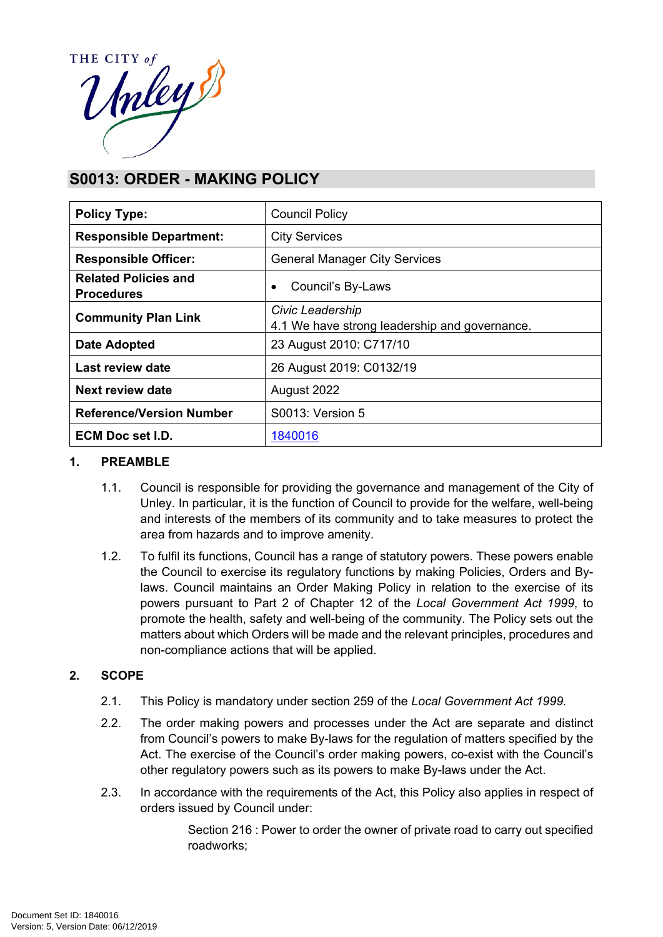

# **S0013: ORDER - MAKING POLICY**

| <b>Policy Type:</b>                              | <b>Council Policy</b>                                             |
|--------------------------------------------------|-------------------------------------------------------------------|
| <b>Responsible Department:</b>                   | <b>City Services</b>                                              |
| <b>Responsible Officer:</b>                      | <b>General Manager City Services</b>                              |
| <b>Related Policies and</b><br><b>Procedures</b> | Council's By-Laws<br>٠                                            |
| <b>Community Plan Link</b>                       | Civic Leadership<br>4.1 We have strong leadership and governance. |
| <b>Date Adopted</b>                              | 23 August 2010: C717/10                                           |
| <b>Last review date</b>                          | 26 August 2019: C0132/19                                          |
| Next review date                                 | August 2022                                                       |
| <b>Reference/Version Number</b>                  | S0013: Version 5                                                  |
| <b>ECM Doc set I.D.</b>                          | 1840016                                                           |

## **1. PREAMBLE**

- 1.1. Council is responsible for providing the governance and management of the City of Unley. In particular, it is the function of Council to provide for the welfare, well-being and interests of the members of its community and to take measures to protect the area from hazards and to improve amenity.
- 1.2. To fulfil its functions, Council has a range of statutory powers. These powers enable the Council to exercise its regulatory functions by making Policies, Orders and Bylaws. Council maintains an Order Making Policy in relation to the exercise of its powers pursuant to Part 2 of Chapter 12 of the *Local Government Act 1999*, to promote the health, safety and well-being of the community. The Policy sets out the matters about which Orders will be made and the relevant principles, procedures and non-compliance actions that will be applied.

## **2. SCOPE**

- 2.1. This Policy is mandatory under section 259 of the *Local Government Act 1999.*
- 2.2. The order making powers and processes under the Act are separate and distinct from Council's powers to make By-laws for the regulation of matters specified by the Act. The exercise of the Council's order making powers, co-exist with the Council's other regulatory powers such as its powers to make By-laws under the Act.
- 2.3. In accordance with the requirements of the Act, this Policy also applies in respect of orders issued by Council under:

Section 216 : Power to order the owner of private road to carry out specified roadworks;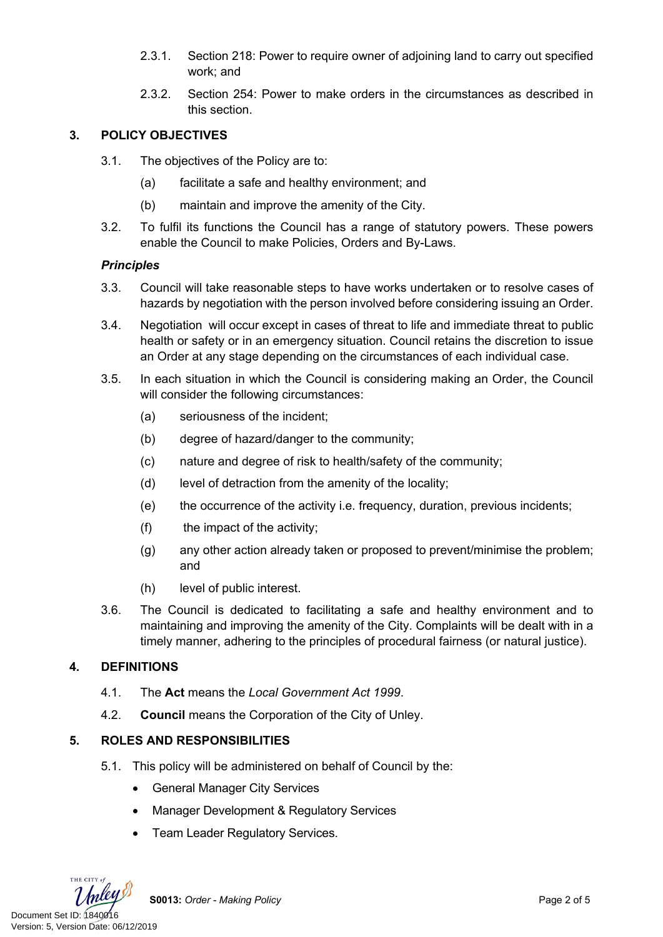- 2.3.1. Section 218: Power to require owner of adjoining land to carry out specified work; and
- 2.3.2. Section 254: Power to make orders in the circumstances as described in this section.

# **3. POLICY OBJECTIVES**

- 3.1. The objectives of the Policy are to:
	- (a) facilitate a safe and healthy environment; and
	- (b) maintain and improve the amenity of the City.
- 3.2. To fulfil its functions the Council has a range of statutory powers. These powers enable the Council to make Policies, Orders and By-Laws.

# *Principles*

- 3.3. Council will take reasonable steps to have works undertaken or to resolve cases of hazards by negotiation with the person involved before considering issuing an Order.
- 3.4. Negotiation will occur except in cases of threat to life and immediate threat to public health or safety or in an emergency situation. Council retains the discretion to issue an Order at any stage depending on the circumstances of each individual case.
- 3.5. In each situation in which the Council is considering making an Order, the Council will consider the following circumstances:
	- (a) seriousness of the incident;
	- (b) degree of hazard/danger to the community;
	- (c) nature and degree of risk to health/safety of the community;
	- (d) level of detraction from the amenity of the locality;
	- (e) the occurrence of the activity i.e. frequency, duration, previous incidents;
	- (f) the impact of the activity;
	- (g) any other action already taken or proposed to prevent/minimise the problem; and
	- (h) level of public interest.
- 3.6. The Council is dedicated to facilitating a safe and healthy environment and to maintaining and improving the amenity of the City. Complaints will be dealt with in a timely manner, adhering to the principles of procedural fairness (or natural justice).

# **4. DEFINITIONS**

- 4.1. The **Act** means the *Local Government Act 1999*.
- 4.2. **Council** means the Corporation of the City of Unley.

# **5. ROLES AND RESPONSIBILITIES**

- 5.1. This policy will be administered on behalf of Council by the:
	- General Manager City Services
	- Manager Development & Regulatory Services
	- Team Leader Regulatory Services.

THE CITY of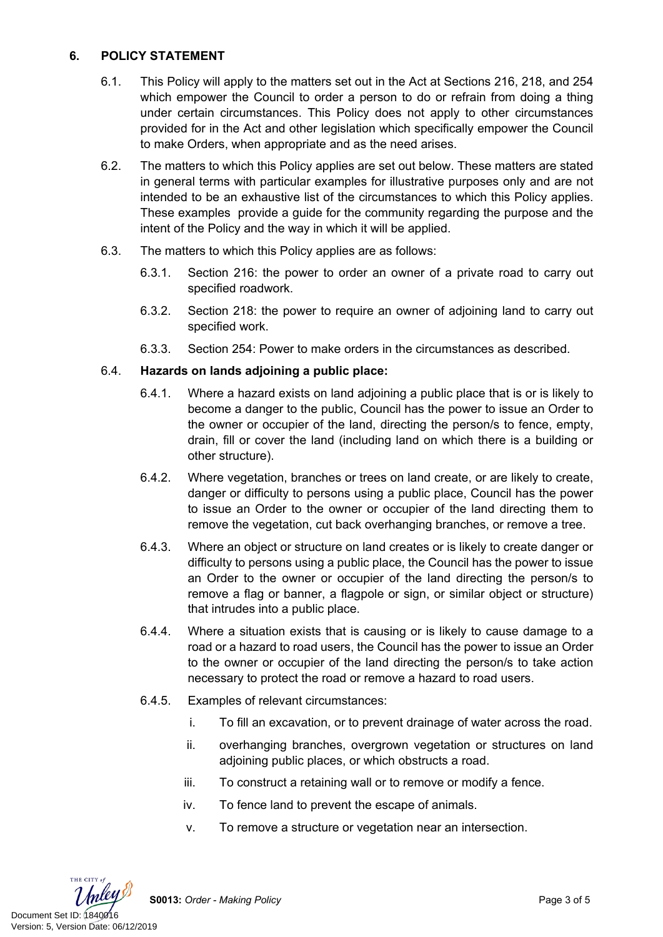# **6. POLICY STATEMENT**

- 6.1. This Policy will apply to the matters set out in the Act at Sections 216, 218, and 254 which empower the Council to order a person to do or refrain from doing a thing under certain circumstances. This Policy does not apply to other circumstances provided for in the Act and other legislation which specifically empower the Council to make Orders, when appropriate and as the need arises.
- 6.2. The matters to which this Policy applies are set out below. These matters are stated in general terms with particular examples for illustrative purposes only and are not intended to be an exhaustive list of the circumstances to which this Policy applies. These examples provide a guide for the community regarding the purpose and the intent of the Policy and the way in which it will be applied.
- 6.3. The matters to which this Policy applies are as follows:
	- 6.3.1. Section 216: the power to order an owner of a private road to carry out specified roadwork.
	- 6.3.2. Section 218: the power to require an owner of adjoining land to carry out specified work.
	- 6.3.3. Section 254: Power to make orders in the circumstances as described.

## 6.4. **Hazards on lands adjoining a public place:**

- 6.4.1. Where a hazard exists on land adjoining a public place that is or is likely to become a danger to the public, Council has the power to issue an Order to the owner or occupier of the land, directing the person/s to fence, empty, drain, fill or cover the land (including land on which there is a building or other structure).
- 6.4.2. Where vegetation, branches or trees on land create, or are likely to create, danger or difficulty to persons using a public place, Council has the power to issue an Order to the owner or occupier of the land directing them to remove the vegetation, cut back overhanging branches, or remove a tree.
- 6.4.3. Where an object or structure on land creates or is likely to create danger or difficulty to persons using a public place, the Council has the power to issue an Order to the owner or occupier of the land directing the person/s to remove a flag or banner, a flagpole or sign, or similar object or structure) that intrudes into a public place.
- 6.4.4. Where a situation exists that is causing or is likely to cause damage to a road or a hazard to road users, the Council has the power to issue an Order to the owner or occupier of the land directing the person/s to take action necessary to protect the road or remove a hazard to road users.
- 6.4.5. Examples of relevant circumstances:
	- i. To fill an excavation, or to prevent drainage of water across the road.
	- ii. overhanging branches, overgrown vegetation or structures on land adjoining public places, or which obstructs a road.
	- iii. To construct a retaining wall or to remove or modify a fence.
	- iv. To fence land to prevent the escape of animals.
	- v. To remove a structure or vegetation near an intersection.



**S0013:** *Order - Making Policy* Page 3 of 5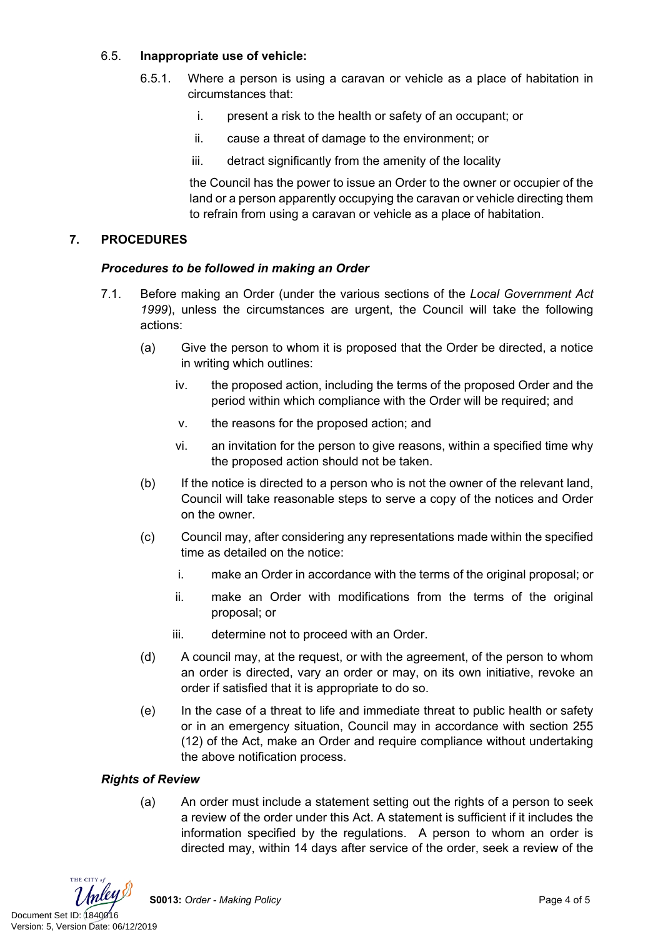## 6.5. **Inappropriate use of vehicle:**

- 6.5.1. Where a person is using a caravan or vehicle as a place of habitation in circumstances that:
	- i. present a risk to the health or safety of an occupant; or
	- ii. cause a threat of damage to the environment; or
	- iii. detract significantly from the amenity of the locality

the Council has the power to issue an Order to the owner or occupier of the land or a person apparently occupying the caravan or vehicle directing them to refrain from using a caravan or vehicle as a place of habitation.

#### **7. PROCEDURES**

#### *Procedures to be followed in making an Order*

- 7.1. Before making an Order (under the various sections of the *Local Government Act 1999*), unless the circumstances are urgent, the Council will take the following actions:
	- (a) Give the person to whom it is proposed that the Order be directed, a notice in writing which outlines:
		- iv. the proposed action, including the terms of the proposed Order and the period within which compliance with the Order will be required; and
		- v. the reasons for the proposed action; and
		- vi. an invitation for the person to give reasons, within a specified time why the proposed action should not be taken.
	- (b) If the notice is directed to a person who is not the owner of the relevant land, Council will take reasonable steps to serve a copy of the notices and Order on the owner.
	- (c) Council may, after considering any representations made within the specified time as detailed on the notice:
		- i. make an Order in accordance with the terms of the original proposal; or
		- ii. make an Order with modifications from the terms of the original proposal; or
		- iii. determine not to proceed with an Order.
	- (d) A council may, at the request, or with the agreement, of the person to whom an order is directed, vary an order or may, on its own initiative, revoke an order if satisfied that it is appropriate to do so.
	- (e) In the case of a threat to life and immediate threat to public health or safety or in an emergency situation, Council may in accordance with section 255 (12) of the Act, make an Order and require compliance without undertaking the above notification process.

#### *Rights of Review*

(a) An order must include a statement setting out the rights of a person to seek a review of the order under this Act. A statement is sufficient if it includes the information specified by the regulations. A person to whom an order is directed may, within 14 days after service of the order, seek a review of the

THE CITY of Document Set ID: 1840016<br>Version: 5, Version Date: 06/12/2019